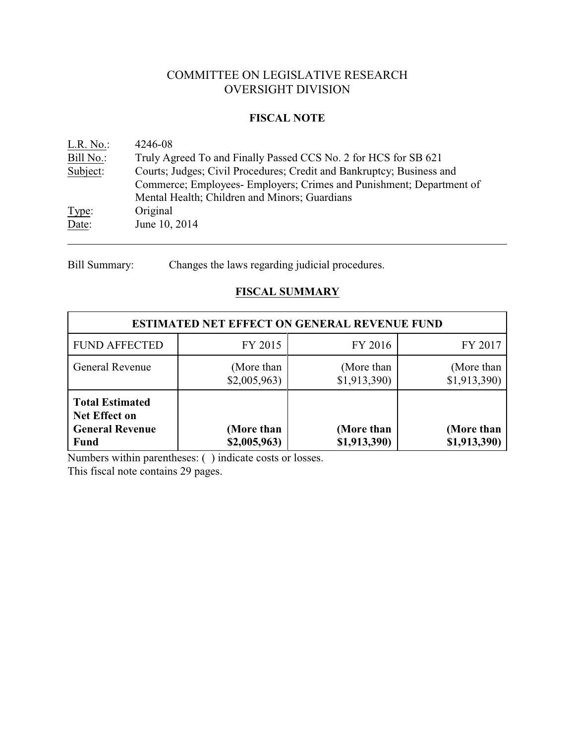# COMMITTEE ON LEGISLATIVE RESEARCH OVERSIGHT DIVISION

## **FISCAL NOTE**

| $L.R. No.$ : | 4246-08                                                               |
|--------------|-----------------------------------------------------------------------|
| Bill No.:    | Truly Agreed To and Finally Passed CCS No. 2 for HCS for SB 621       |
| Subject:     | Courts; Judges; Civil Procedures; Credit and Bankruptcy; Business and |
|              | Commerce; Employees- Employers; Crimes and Punishment; Department of  |
|              | Mental Health; Children and Minors; Guardians                         |
| Type:        | Original                                                              |
| Date:        | June 10, 2014                                                         |
|              |                                                                       |

Bill Summary: Changes the laws regarding judicial procedures.

# **FISCAL SUMMARY**

| <b>ESTIMATED NET EFFECT ON GENERAL REVENUE FUND</b>                                     |                            |                            |                            |  |  |  |
|-----------------------------------------------------------------------------------------|----------------------------|----------------------------|----------------------------|--|--|--|
| FY 2016<br><b>FUND AFFECTED</b><br>FY 2017<br>FY 2015                                   |                            |                            |                            |  |  |  |
| <b>General Revenue</b>                                                                  | (More than<br>\$2,005,963  | (More than<br>\$1,913,390  | (More than<br>\$1,913,390) |  |  |  |
| <b>Total Estimated</b><br><b>Net Effect on</b><br><b>General Revenue</b><br><b>Fund</b> | (More than<br>\$2,005,963) | (More than<br>\$1,913,390) | (More than<br>\$1,913,390) |  |  |  |

Numbers within parentheses: ( ) indicate costs or losses.

This fiscal note contains 29 pages.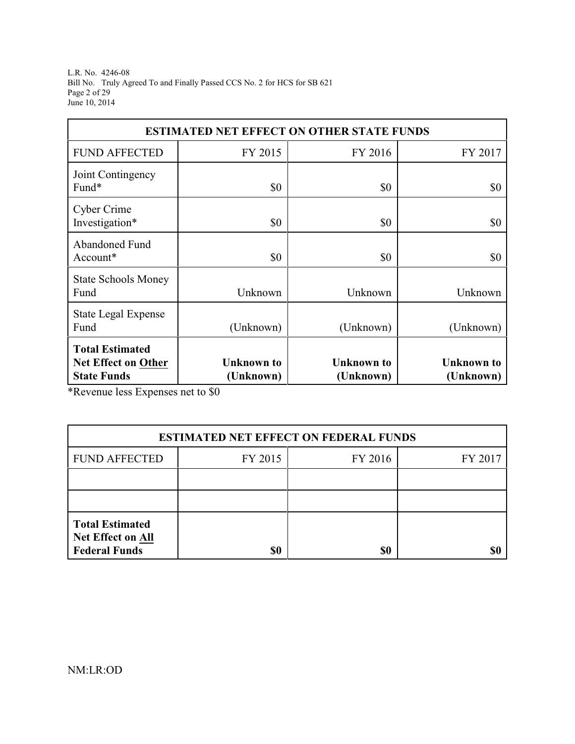L.R. No. 4246-08 Bill No. Truly Agreed To and Finally Passed CCS No. 2 for HCS for SB 621 Page 2 of 29 June 10, 2014

| <b>ESTIMATED NET EFFECT ON OTHER STATE FUNDS</b>                                                                                                                                 |                               |           |           |  |  |  |  |  |
|----------------------------------------------------------------------------------------------------------------------------------------------------------------------------------|-------------------------------|-----------|-----------|--|--|--|--|--|
| <b>FUND AFFECTED</b>                                                                                                                                                             | FY 2015<br>FY 2016<br>FY 2017 |           |           |  |  |  |  |  |
| Joint Contingency<br>Fund*                                                                                                                                                       | \$0                           | \$0       | \$0       |  |  |  |  |  |
| Cyber Crime<br>Investigation*                                                                                                                                                    | \$0                           | \$0       | \$0       |  |  |  |  |  |
| Abandoned Fund<br>Account*                                                                                                                                                       | \$0                           | \$0       | \$0       |  |  |  |  |  |
| <b>State Schools Money</b><br>Fund                                                                                                                                               | Unknown                       | Unknown   | Unknown   |  |  |  |  |  |
| <b>State Legal Expense</b><br>Fund                                                                                                                                               | (Unknown)                     | (Unknown) | (Unknown) |  |  |  |  |  |
| <b>Total Estimated</b><br><b>Unknown</b> to<br><b>Unknown</b> to<br><b>Net Effect on Other</b><br><b>Unknown</b> to<br><b>State Funds</b><br>(Unknown)<br>(Unknown)<br>(Unknown) |                               |           |           |  |  |  |  |  |

\*Revenue less Expenses net to \$0

| <b>ESTIMATED NET EFFECT ON FEDERAL FUNDS</b>                               |         |         |         |  |  |
|----------------------------------------------------------------------------|---------|---------|---------|--|--|
| <b>FUND AFFECTED</b>                                                       | FY 2015 | FY 2016 | FY 2017 |  |  |
|                                                                            |         |         |         |  |  |
|                                                                            |         |         |         |  |  |
| <b>Total Estimated</b><br><b>Net Effect on All</b><br><b>Federal Funds</b> | \$0     | \$0     | \$C     |  |  |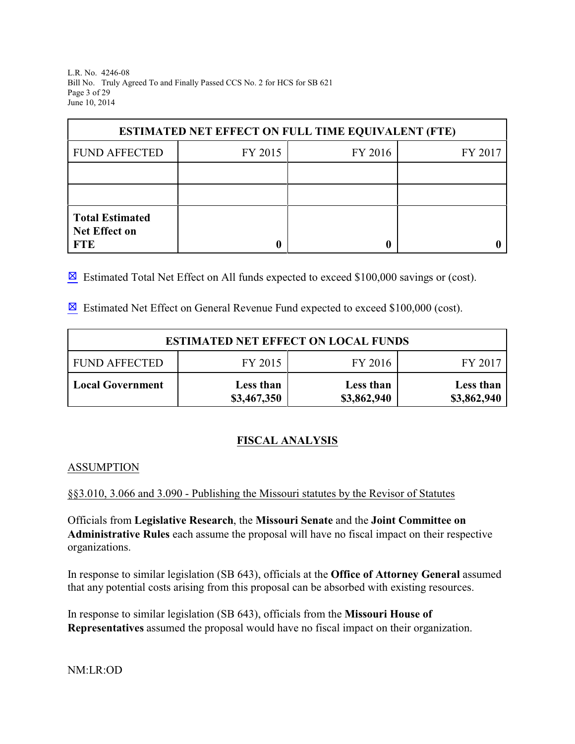L.R. No. 4246-08 Bill No. Truly Agreed To and Finally Passed CCS No. 2 for HCS for SB 621 Page 3 of 29 June 10, 2014

| <b>ESTIMATED NET EFFECT ON FULL TIME EQUIVALENT (FTE)</b>    |  |  |  |  |  |  |
|--------------------------------------------------------------|--|--|--|--|--|--|
| <b>FUND AFFECTED</b><br>FY 2015<br>FY 2016<br>FY 2017        |  |  |  |  |  |  |
|                                                              |  |  |  |  |  |  |
|                                                              |  |  |  |  |  |  |
| <b>Total Estimated</b><br><b>Net Effect on</b><br><b>FTE</b> |  |  |  |  |  |  |

 $\boxtimes$  Estimated Total Net Effect on All funds expected to exceed \$100,000 savings or (cost).

 $\boxtimes$  Estimated Net Effect on General Revenue Fund expected to exceed \$100,000 (cost).

| <b>ESTIMATED NET EFFECT ON LOCAL FUNDS</b>            |                          |                          |                          |  |  |  |
|-------------------------------------------------------|--------------------------|--------------------------|--------------------------|--|--|--|
| FY 2015<br>FY 2016<br><b>FUND AFFECTED</b><br>FY 2017 |                          |                          |                          |  |  |  |
| <b>Local Government</b>                               | Less than<br>\$3,467,350 | Less than<br>\$3,862,940 | Less than<br>\$3,862,940 |  |  |  |

# **FISCAL ANALYSIS**

#### ASSUMPTION

§§3.010, 3.066 and 3.090 - Publishing the Missouri statutes by the Revisor of Statutes

Officials from **Legislative Research**, the **Missouri Senate** and the **Joint Committee on Administrative Rules** each assume the proposal will have no fiscal impact on their respective organizations.

In response to similar legislation (SB 643), officials at the **Office of Attorney General** assumed that any potential costs arising from this proposal can be absorbed with existing resources.

In response to similar legislation (SB 643), officials from the **Missouri House of Representatives** assumed the proposal would have no fiscal impact on their organization.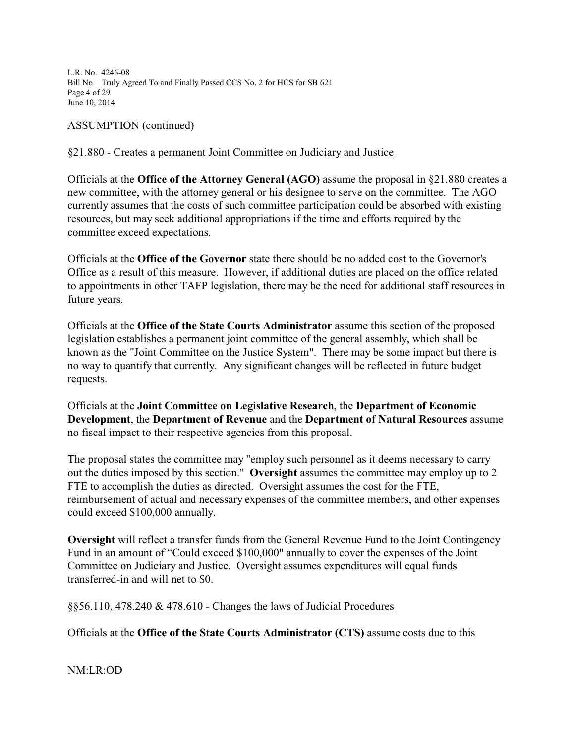L.R. No. 4246-08 Bill No. Truly Agreed To and Finally Passed CCS No. 2 for HCS for SB 621 Page 4 of 29 June 10, 2014

ASSUMPTION (continued)

## §21.880 - Creates a permanent Joint Committee on Judiciary and Justice

Officials at the **Office of the Attorney General (AGO)** assume the proposal in §21.880 creates a new committee, with the attorney general or his designee to serve on the committee. The AGO currently assumes that the costs of such committee participation could be absorbed with existing resources, but may seek additional appropriations if the time and efforts required by the committee exceed expectations.

Officials at the **Office of the Governor** state there should be no added cost to the Governor's Office as a result of this measure. However, if additional duties are placed on the office related to appointments in other TAFP legislation, there may be the need for additional staff resources in future years.

Officials at the **Office of the State Courts Administrator** assume this section of the proposed legislation establishes a permanent joint committee of the general assembly, which shall be known as the "Joint Committee on the Justice System". There may be some impact but there is no way to quantify that currently. Any significant changes will be reflected in future budget requests.

Officials at the **Joint Committee on Legislative Research**, the **Department of Economic Development**, the **Department of Revenue** and the **Department of Natural Resources** assume no fiscal impact to their respective agencies from this proposal.

The proposal states the committee may "employ such personnel as it deems necessary to carry out the duties imposed by this section." **Oversight** assumes the committee may employ up to 2 FTE to accomplish the duties as directed. Oversight assumes the cost for the FTE, reimbursement of actual and necessary expenses of the committee members, and other expenses could exceed \$100,000 annually.

**Oversight** will reflect a transfer funds from the General Revenue Fund to the Joint Contingency Fund in an amount of "Could exceed \$100,000" annually to cover the expenses of the Joint Committee on Judiciary and Justice. Oversight assumes expenditures will equal funds transferred-in and will net to \$0.

#### §§56.110, 478.240 & 478.610 - Changes the laws of Judicial Procedures

Officials at the **Office of the State Courts Administrator (CTS)** assume costs due to this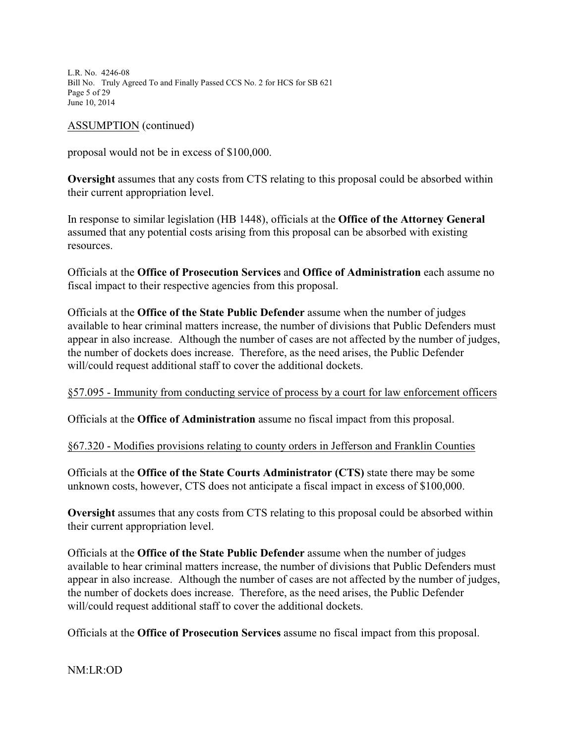L.R. No. 4246-08 Bill No. Truly Agreed To and Finally Passed CCS No. 2 for HCS for SB 621 Page 5 of 29 June 10, 2014

#### ASSUMPTION (continued)

proposal would not be in excess of \$100,000.

**Oversight** assumes that any costs from CTS relating to this proposal could be absorbed within their current appropriation level.

In response to similar legislation (HB 1448), officials at the **Office of the Attorney General** assumed that any potential costs arising from this proposal can be absorbed with existing resources.

Officials at the **Office of Prosecution Services** and **Office of Administration** each assume no fiscal impact to their respective agencies from this proposal.

Officials at the **Office of the State Public Defender** assume when the number of judges available to hear criminal matters increase, the number of divisions that Public Defenders must appear in also increase. Although the number of cases are not affected by the number of judges, the number of dockets does increase. Therefore, as the need arises, the Public Defender will/could request additional staff to cover the additional dockets.

#### §57.095 - Immunity from conducting service of process by a court for law enforcement officers

Officials at the **Office of Administration** assume no fiscal impact from this proposal.

#### §67.320 - Modifies provisions relating to county orders in Jefferson and Franklin Counties

Officials at the **Office of the State Courts Administrator (CTS)** state there may be some unknown costs, however, CTS does not anticipate a fiscal impact in excess of \$100,000.

**Oversight** assumes that any costs from CTS relating to this proposal could be absorbed within their current appropriation level.

Officials at the **Office of the State Public Defender** assume when the number of judges available to hear criminal matters increase, the number of divisions that Public Defenders must appear in also increase. Although the number of cases are not affected by the number of judges, the number of dockets does increase. Therefore, as the need arises, the Public Defender will/could request additional staff to cover the additional dockets.

Officials at the **Office of Prosecution Services** assume no fiscal impact from this proposal.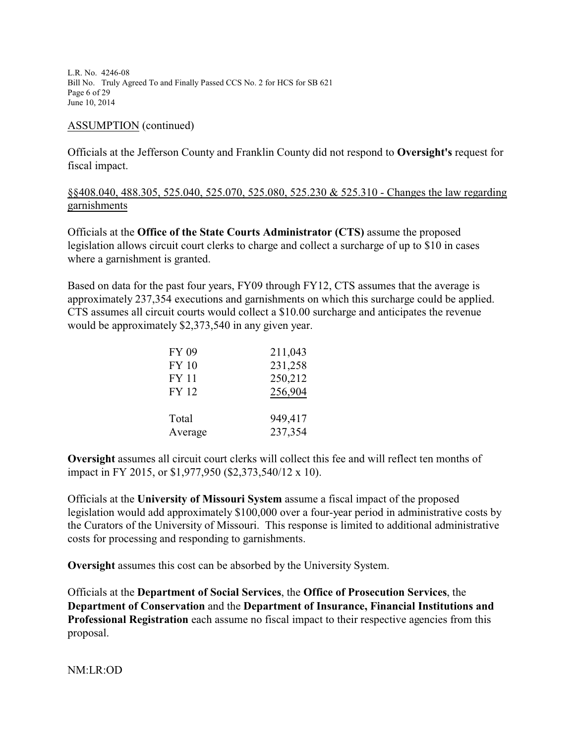L.R. No. 4246-08 Bill No. Truly Agreed To and Finally Passed CCS No. 2 for HCS for SB 621 Page 6 of 29 June 10, 2014

#### ASSUMPTION (continued)

Officials at the Jefferson County and Franklin County did not respond to **Oversight's** request for fiscal impact.

## §§408.040, 488.305, 525.040, 525.070, 525.080, 525.230 & 525.310 - Changes the law regarding garnishments

Officials at the **Office of the State Courts Administrator (CTS)** assume the proposed legislation allows circuit court clerks to charge and collect a surcharge of up to \$10 in cases where a garnishment is granted.

Based on data for the past four years, FY09 through FY12, CTS assumes that the average is approximately 237,354 executions and garnishments on which this surcharge could be applied. CTS assumes all circuit courts would collect a \$10.00 surcharge and anticipates the revenue would be approximately \$2,373,540 in any given year.

| FY 09        | 211,043 |
|--------------|---------|
| <b>FY 10</b> | 231,258 |
| <b>FY 11</b> | 250,212 |
| <b>FY 12</b> | 256,904 |
|              |         |
| Total        | 949,417 |
| Average      | 237,354 |

**Oversight** assumes all circuit court clerks will collect this fee and will reflect ten months of impact in FY 2015, or \$1,977,950 (\$2,373,540/12 x 10).

Officials at the **University of Missouri System** assume a fiscal impact of the proposed legislation would add approximately \$100,000 over a four-year period in administrative costs by the Curators of the University of Missouri. This response is limited to additional administrative costs for processing and responding to garnishments.

**Oversight** assumes this cost can be absorbed by the University System.

Officials at the **Department of Social Services**, the **Office of Prosecution Services**, the **Department of Conservation** and the **Department of Insurance, Financial Institutions and Professional Registration** each assume no fiscal impact to their respective agencies from this proposal.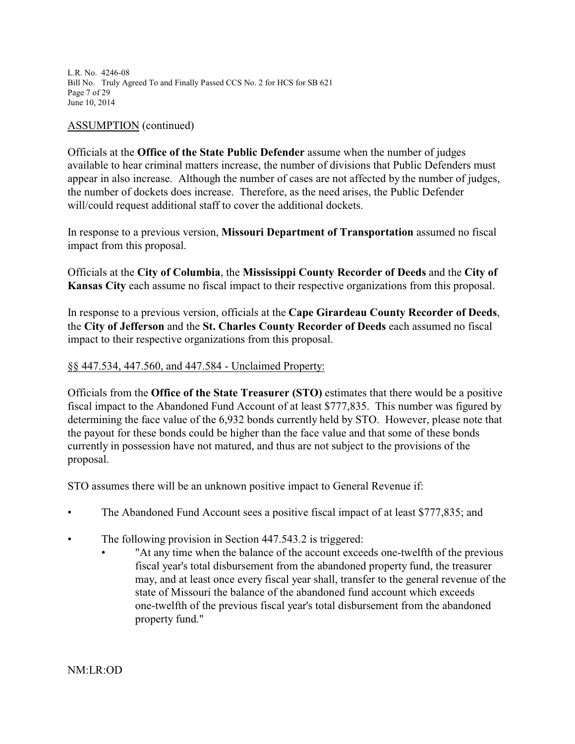L.R. No. 4246-08 Bill No. Truly Agreed To and Finally Passed CCS No. 2 for HCS for SB 621 Page 7 of 29 June 10, 2014

#### ASSUMPTION (continued)

Officials at the **Office of the State Public Defender** assume when the number of judges available to hear criminal matters increase, the number of divisions that Public Defenders must appear in also increase. Although the number of cases are not affected by the number of judges, the number of dockets does increase. Therefore, as the need arises, the Public Defender will/could request additional staff to cover the additional dockets.

In response to a previous version, **Missouri Department of Transportation** assumed no fiscal impact from this proposal.

Officials at the **City of Columbia**, the **Mississippi County Recorder of Deeds** and the **City of Kansas City** each assume no fiscal impact to their respective organizations from this proposal.

In response to a previous version, officials at the **Cape Girardeau County Recorder of Deeds**, the **City of Jefferson** and the **St. Charles County Recorder of Deeds** each assumed no fiscal impact to their respective organizations from this proposal.

#### §§ 447.534, 447.560, and 447.584 - Unclaimed Property:

Officials from the **Office of the State Treasurer (STO)** estimates that there would be a positive fiscal impact to the Abandoned Fund Account of at least \$777,835. This number was figured by determining the face value of the 6,932 bonds currently held by STO. However, please note that the payout for these bonds could be higher than the face value and that some of these bonds currently in possession have not matured, and thus are not subject to the provisions of the proposal.

STO assumes there will be an unknown positive impact to General Revenue if:

- The Abandoned Fund Account sees a positive fiscal impact of at least \$777,835; and
- The following provision in Section 447.543.2 is triggered:
	- "At any time when the balance of the account exceeds one-twelfth of the previous fiscal year's total disbursement from the abandoned property fund, the treasurer may, and at least once every fiscal year shall, transfer to the general revenue of the state of Missouri the balance of the abandoned fund account which exceeds one-twelfth of the previous fiscal year's total disbursement from the abandoned property fund."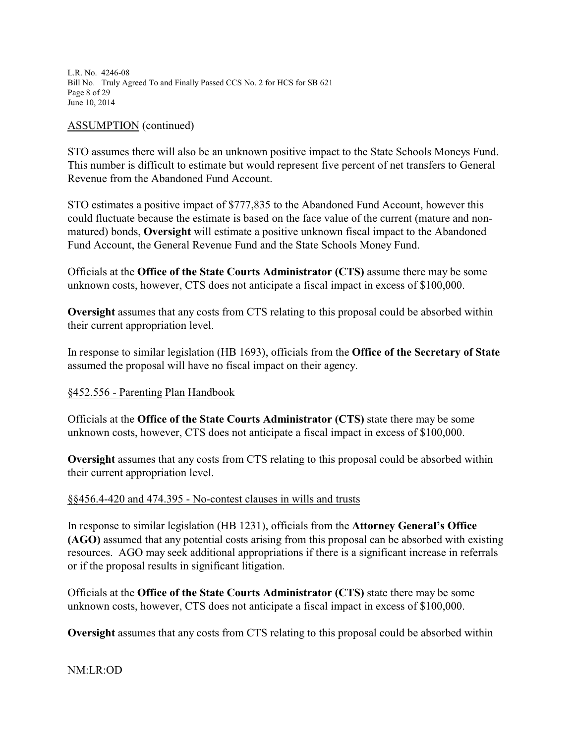L.R. No. 4246-08 Bill No. Truly Agreed To and Finally Passed CCS No. 2 for HCS for SB 621 Page 8 of 29 June 10, 2014

#### ASSUMPTION (continued)

STO assumes there will also be an unknown positive impact to the State Schools Moneys Fund. This number is difficult to estimate but would represent five percent of net transfers to General Revenue from the Abandoned Fund Account.

STO estimates a positive impact of \$777,835 to the Abandoned Fund Account, however this could fluctuate because the estimate is based on the face value of the current (mature and nonmatured) bonds, **Oversight** will estimate a positive unknown fiscal impact to the Abandoned Fund Account, the General Revenue Fund and the State Schools Money Fund.

Officials at the **Office of the State Courts Administrator (CTS)** assume there may be some unknown costs, however, CTS does not anticipate a fiscal impact in excess of \$100,000.

**Oversight** assumes that any costs from CTS relating to this proposal could be absorbed within their current appropriation level.

In response to similar legislation (HB 1693), officials from the **Office of the Secretary of State** assumed the proposal will have no fiscal impact on their agency.

#### §452.556 - Parenting Plan Handbook

Officials at the **Office of the State Courts Administrator (CTS)** state there may be some unknown costs, however, CTS does not anticipate a fiscal impact in excess of \$100,000.

**Oversight** assumes that any costs from CTS relating to this proposal could be absorbed within their current appropriation level.

#### §§456.4-420 and 474.395 - No-contest clauses in wills and trusts

In response to similar legislation (HB 1231), officials from the **Attorney General's Office (AGO)** assumed that any potential costs arising from this proposal can be absorbed with existing resources. AGO may seek additional appropriations if there is a significant increase in referrals or if the proposal results in significant litigation.

Officials at the **Office of the State Courts Administrator (CTS)** state there may be some unknown costs, however, CTS does not anticipate a fiscal impact in excess of \$100,000.

**Oversight** assumes that any costs from CTS relating to this proposal could be absorbed within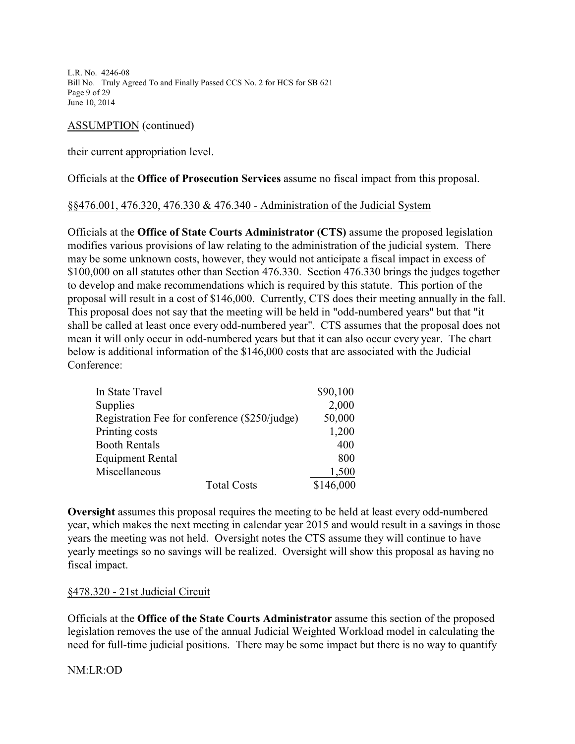L.R. No. 4246-08 Bill No. Truly Agreed To and Finally Passed CCS No. 2 for HCS for SB 621 Page 9 of 29 June 10, 2014

## ASSUMPTION (continued)

their current appropriation level.

Officials at the **Office of Prosecution Services** assume no fiscal impact from this proposal.

#### §§476.001, 476.320, 476.330 & 476.340 - Administration of the Judicial System

Officials at the **Office of State Courts Administrator (CTS)** assume the proposed legislation modifies various provisions of law relating to the administration of the judicial system. There may be some unknown costs, however, they would not anticipate a fiscal impact in excess of \$100,000 on all statutes other than Section 476.330. Section 476.330 brings the judges together to develop and make recommendations which is required by this statute. This portion of the proposal will result in a cost of \$146,000. Currently, CTS does their meeting annually in the fall. This proposal does not say that the meeting will be held in "odd-numbered years" but that "it shall be called at least once every odd-numbered year". CTS assumes that the proposal does not mean it will only occur in odd-numbered years but that it can also occur every year. The chart below is additional information of the \$146,000 costs that are associated with the Judicial Conference:

| In State Travel                               | \$90,100  |
|-----------------------------------------------|-----------|
| Supplies                                      | 2,000     |
| Registration Fee for conference (\$250/judge) | 50,000    |
| Printing costs                                | 1,200     |
| <b>Booth Rentals</b>                          | 400       |
| <b>Equipment Rental</b>                       | 800       |
| Miscellaneous                                 | 1,500     |
| <b>Total Costs</b>                            | \$146,000 |

**Oversight** assumes this proposal requires the meeting to be held at least every odd-numbered year, which makes the next meeting in calendar year 2015 and would result in a savings in those years the meeting was not held. Oversight notes the CTS assume they will continue to have yearly meetings so no savings will be realized. Oversight will show this proposal as having no fiscal impact.

# §478.320 - 21st Judicial Circuit

Officials at the **Office of the State Courts Administrator** assume this section of the proposed legislation removes the use of the annual Judicial Weighted Workload model in calculating the need for full-time judicial positions. There may be some impact but there is no way to quantify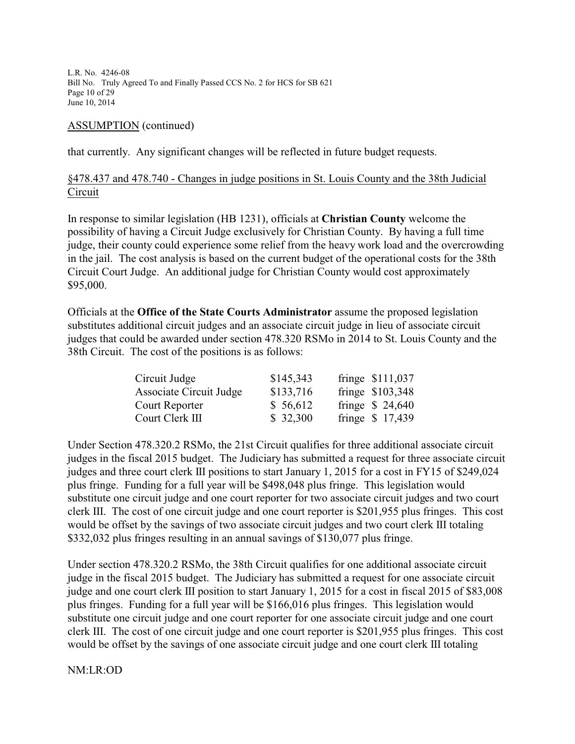L.R. No. 4246-08 Bill No. Truly Agreed To and Finally Passed CCS No. 2 for HCS for SB 621 Page 10 of 29 June 10, 2014

#### ASSUMPTION (continued)

that currently. Any significant changes will be reflected in future budget requests.

## §478.437 and 478.740 - Changes in judge positions in St. Louis County and the 38th Judicial Circuit

In response to similar legislation (HB 1231), officials at **Christian County** welcome the possibility of having a Circuit Judge exclusively for Christian County. By having a full time judge, their county could experience some relief from the heavy work load and the overcrowding in the jail. The cost analysis is based on the current budget of the operational costs for the 38th Circuit Court Judge. An additional judge for Christian County would cost approximately \$95,000.

Officials at the **Office of the State Courts Administrator** assume the proposed legislation substitutes additional circuit judges and an associate circuit judge in lieu of associate circuit judges that could be awarded under section 478.320 RSMo in 2014 to St. Louis County and the 38th Circuit. The cost of the positions is as follows:

| Circuit Judge           | \$145,343 | fringe \$111,037 |
|-------------------------|-----------|------------------|
| Associate Circuit Judge | \$133,716 | fringe \$103,348 |
| Court Reporter          | \$ 56,612 | fringe $$24,640$ |
| Court Clerk III         | \$32,300  | fringe \$ 17,439 |

Under Section 478.320.2 RSMo, the 21st Circuit qualifies for three additional associate circuit judges in the fiscal 2015 budget. The Judiciary has submitted a request for three associate circuit judges and three court clerk III positions to start January 1, 2015 for a cost in FY15 of \$249,024 plus fringe. Funding for a full year will be \$498,048 plus fringe. This legislation would substitute one circuit judge and one court reporter for two associate circuit judges and two court clerk III. The cost of one circuit judge and one court reporter is \$201,955 plus fringes. This cost would be offset by the savings of two associate circuit judges and two court clerk III totaling \$332,032 plus fringes resulting in an annual savings of \$130,077 plus fringe.

Under section 478.320.2 RSMo, the 38th Circuit qualifies for one additional associate circuit judge in the fiscal 2015 budget. The Judiciary has submitted a request for one associate circuit judge and one court clerk III position to start January 1, 2015 for a cost in fiscal 2015 of \$83,008 plus fringes. Funding for a full year will be \$166,016 plus fringes. This legislation would substitute one circuit judge and one court reporter for one associate circuit judge and one court clerk III. The cost of one circuit judge and one court reporter is \$201,955 plus fringes. This cost would be offset by the savings of one associate circuit judge and one court clerk III totaling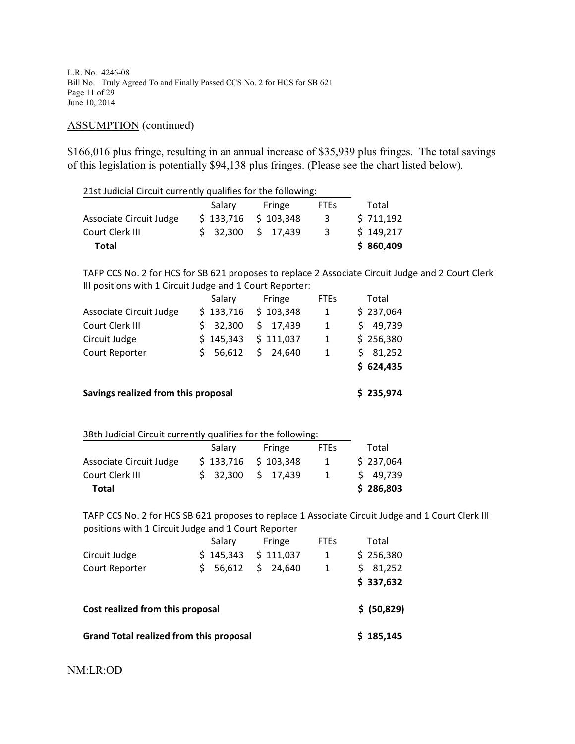L.R. No. 4246-08 Bill No. Truly Agreed To and Finally Passed CCS No. 2 for HCS for SB 621 Page 11 of 29 June 10, 2014

## ASSUMPTION (continued)

\$166,016 plus fringe, resulting in an annual increase of \$35,939 plus fringes. The total savings of this legislation is potentially \$94,138 plus fringes. (Please see the chart listed below).

| 21st Judicial Circuit currently qualifies for the following: |           |                       |                        |                                                                                                   |  |
|--------------------------------------------------------------|-----------|-----------------------|------------------------|---------------------------------------------------------------------------------------------------|--|
|                                                              | Salary    | Fringe                | <b>FTEs</b>            | Total                                                                                             |  |
| Associate Circuit Judge                                      |           | $$133,716$ $$103,348$ | 3 <sup>7</sup>         | \$711,192                                                                                         |  |
| Court Clerk III                                              | \$32,300  | \$17,439              | 3 <sup>7</sup>         | \$149,217                                                                                         |  |
| <b>Total</b>                                                 |           |                       |                        | \$860,409                                                                                         |  |
|                                                              |           |                       |                        | TAFP CCS No. 2 for HCS for SB 621 proposes to replace 2 Associate Circuit Judge and 2 Court Clerk |  |
| III positions with 1 Circuit Judge and 1 Court Reporter:     |           |                       |                        |                                                                                                   |  |
|                                                              | Salary    | Fringe                | <b>FTEs</b>            | Total                                                                                             |  |
| Associate Circuit Judge                                      | \$133,716 | \$103,348             | $1 \quad$              | \$237,064                                                                                         |  |
| Court Clerk III                                              |           | \$ 32,300 \$ 17,439   | $1 \quad$              | \$49,739                                                                                          |  |
| Circuit Judge                                                |           | $$145,343 \t$111,037$ | $1 \quad \blacksquare$ | \$256,380                                                                                         |  |
| Court Reporter                                               | \$56,612  | \$24,640              | $\mathbf{1}$           | \$31,252                                                                                          |  |
|                                                              |           |                       |                        | \$624,435                                                                                         |  |
| Savings realized from this proposal                          |           |                       |                        | \$235,974                                                                                         |  |
|                                                              |           |                       |                        |                                                                                                   |  |
| 38th Judicial Circuit currently qualifies for the following: |           |                       |                        |                                                                                                   |  |
|                                                              | Salary    | Fringe                | <b>FTEs</b>            | Total                                                                                             |  |
| Associate Circuit Judge                                      | \$133,716 | \$103,348             | 1                      | \$237,064                                                                                         |  |
| Court Clerk III                                              | \$32,300  | \$17,439              | $\mathbf{1}$           | \$49,739                                                                                          |  |
| <b>Total</b>                                                 |           |                       |                        | \$286,803                                                                                         |  |
|                                                              |           |                       |                        | TAFP CCS No. 2 for HCS SB 621 proposes to replace 1 Associate Circuit Judge and 1 Court Clerk III |  |
| positions with 1 Circuit Judge and 1 Court Reporter          |           |                       |                        |                                                                                                   |  |
|                                                              | Salary    | Fringe                | <b>FTEs</b>            | Total                                                                                             |  |
| Circuit Judge                                                | \$145,343 | \$111,037             | $\mathbf{1}$           | \$256,380                                                                                         |  |
| Court Reporter                                               | \$56,612  | \$24,640              | $\mathbf{1}$           | \$31,252                                                                                          |  |
|                                                              |           |                       |                        | \$337,632                                                                                         |  |
| Cost realized from this proposal                             |           |                       |                        | \$ (50,829)                                                                                       |  |

Grand Total realized from this proposal **6 185,145**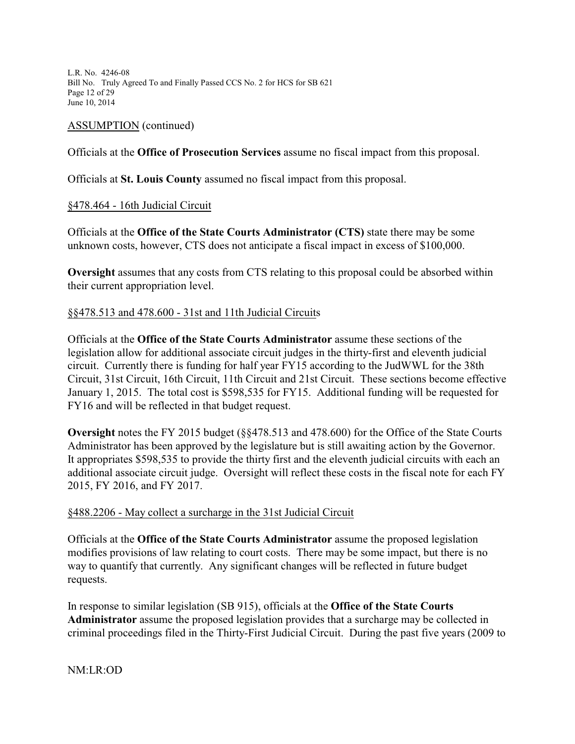L.R. No. 4246-08 Bill No. Truly Agreed To and Finally Passed CCS No. 2 for HCS for SB 621 Page 12 of 29 June 10, 2014

#### ASSUMPTION (continued)

Officials at the **Office of Prosecution Services** assume no fiscal impact from this proposal.

Officials at **St. Louis County** assumed no fiscal impact from this proposal.

#### §478.464 - 16th Judicial Circuit

Officials at the **Office of the State Courts Administrator (CTS)** state there may be some unknown costs, however, CTS does not anticipate a fiscal impact in excess of \$100,000.

**Oversight** assumes that any costs from CTS relating to this proposal could be absorbed within their current appropriation level.

#### §§478.513 and 478.600 - 31st and 11th Judicial Circuits

Officials at the **Office of the State Courts Administrator** assume these sections of the legislation allow for additional associate circuit judges in the thirty-first and eleventh judicial circuit. Currently there is funding for half year FY15 according to the JudWWL for the 38th Circuit, 31st Circuit, 16th Circuit, 11th Circuit and 21st Circuit. These sections become effective January 1, 2015. The total cost is \$598,535 for FY15. Additional funding will be requested for FY16 and will be reflected in that budget request.

**Oversight** notes the FY 2015 budget (§§478.513 and 478.600) for the Office of the State Courts Administrator has been approved by the legislature but is still awaiting action by the Governor. It appropriates \$598,535 to provide the thirty first and the eleventh judicial circuits with each an additional associate circuit judge. Oversight will reflect these costs in the fiscal note for each FY 2015, FY 2016, and FY 2017.

#### §488.2206 - May collect a surcharge in the 31st Judicial Circuit

Officials at the **Office of the State Courts Administrator** assume the proposed legislation modifies provisions of law relating to court costs. There may be some impact, but there is no way to quantify that currently. Any significant changes will be reflected in future budget requests.

In response to similar legislation (SB 915), officials at the **Office of the State Courts Administrator** assume the proposed legislation provides that a surcharge may be collected in criminal proceedings filed in the Thirty-First Judicial Circuit. During the past five years (2009 to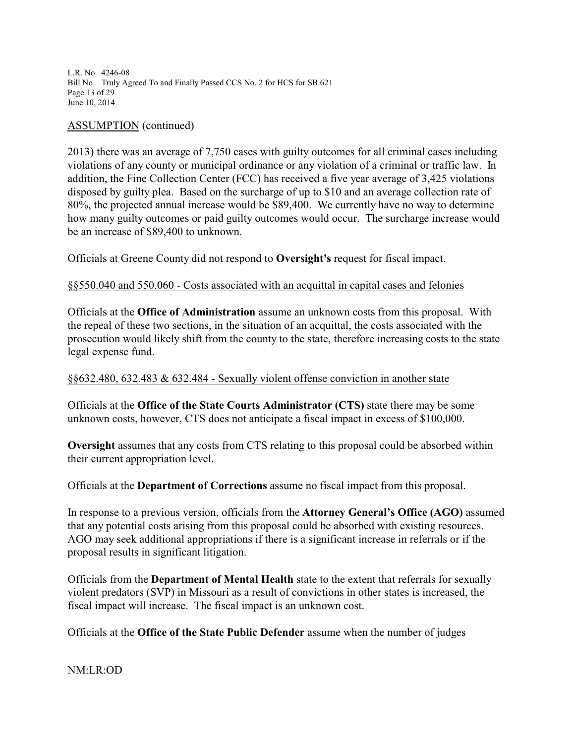L.R. No. 4246-08 Bill No. Truly Agreed To and Finally Passed CCS No. 2 for HCS for SB 621 Page 13 of 29 June 10, 2014

#### ASSUMPTION (continued)

2013) there was an average of 7,750 cases with guilty outcomes for all criminal cases including violations of any county or municipal ordinance or any violation of a criminal or traffic law. In addition, the Fine Collection Center (FCC) has received a five year average of 3,425 violations disposed by guilty plea. Based on the surcharge of up to \$10 and an average collection rate of 80%, the projected annual increase would be \$89,400. We currently have no way to determine how many guilty outcomes or paid guilty outcomes would occur. The surcharge increase would be an increase of \$89,400 to unknown.

Officials at Greene County did not respond to **Oversight's** request for fiscal impact.

## §§550.040 and 550.060 - Costs associated with an acquittal in capital cases and felonies

Officials at the **Office of Administration** assume an unknown costs from this proposal. With the repeal of these two sections, in the situation of an acquittal, the costs associated with the prosecution would likely shift from the county to the state, therefore increasing costs to the state legal expense fund.

## §§632.480, 632.483 & 632.484 - Sexually violent offense conviction in another state

Officials at the **Office of the State Courts Administrator (CTS)** state there may be some unknown costs, however, CTS does not anticipate a fiscal impact in excess of \$100,000.

**Oversight** assumes that any costs from CTS relating to this proposal could be absorbed within their current appropriation level.

Officials at the **Department of Corrections** assume no fiscal impact from this proposal.

In response to a previous version, officials from the **Attorney General's Office (AGO)** assumed that any potential costs arising from this proposal could be absorbed with existing resources. AGO may seek additional appropriations if there is a significant increase in referrals or if the proposal results in significant litigation.

Officials from the **Department of Mental Health** state to the extent that referrals for sexually violent predators (SVP) in Missouri as a result of convictions in other states is increased, the fiscal impact will increase. The fiscal impact is an unknown cost.

Officials at the **Office of the State Public Defender** assume when the number of judges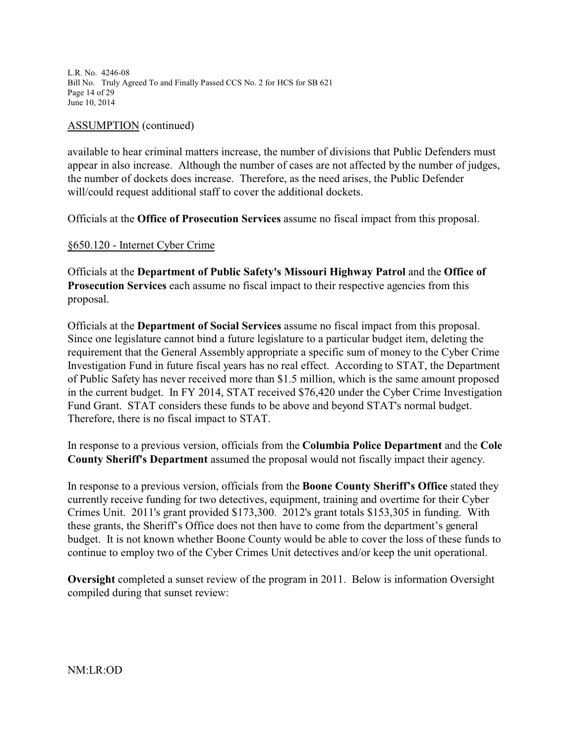L.R. No. 4246-08 Bill No. Truly Agreed To and Finally Passed CCS No. 2 for HCS for SB 621 Page 14 of 29 June 10, 2014

#### ASSUMPTION (continued)

available to hear criminal matters increase, the number of divisions that Public Defenders must appear in also increase. Although the number of cases are not affected by the number of judges, the number of dockets does increase. Therefore, as the need arises, the Public Defender will/could request additional staff to cover the additional dockets.

Officials at the **Office of Prosecution Services** assume no fiscal impact from this proposal.

#### §650.120 - Internet Cyber Crime

Officials at the **Department of Public Safety's Missouri Highway Patrol** and the **Office of Prosecution Services** each assume no fiscal impact to their respective agencies from this proposal.

Officials at the **Department of Social Services** assume no fiscal impact from this proposal. Since one legislature cannot bind a future legislature to a particular budget item, deleting the requirement that the General Assembly appropriate a specific sum of money to the Cyber Crime Investigation Fund in future fiscal years has no real effect. According to STAT, the Department of Public Safety has never received more than \$1.5 million, which is the same amount proposed in the current budget. In FY 2014, STAT received \$76,420 under the Cyber Crime Investigation Fund Grant. STAT considers these funds to be above and beyond STAT's normal budget. Therefore, there is no fiscal impact to STAT.

In response to a previous version, officials from the **Columbia Police Department** and the **Cole County Sheriff's Department** assumed the proposal would not fiscally impact their agency.

In response to a previous version, officials from the **Boone County Sheriff's Office** stated they currently receive funding for two detectives, equipment, training and overtime for their Cyber Crimes Unit. 2011's grant provided \$173,300. 2012's grant totals \$153,305 in funding. With these grants, the Sheriff's Office does not then have to come from the department's general budget. It is not known whether Boone County would be able to cover the loss of these funds to continue to employ two of the Cyber Crimes Unit detectives and/or keep the unit operational.

**Oversight** completed a sunset review of the program in 2011. Below is information Oversight compiled during that sunset review: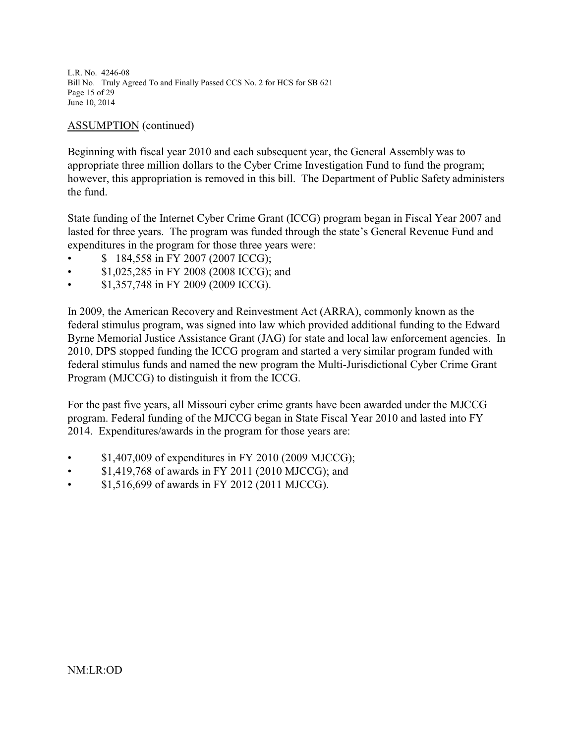L.R. No. 4246-08 Bill No. Truly Agreed To and Finally Passed CCS No. 2 for HCS for SB 621 Page 15 of 29 June 10, 2014

## ASSUMPTION (continued)

Beginning with fiscal year 2010 and each subsequent year, the General Assembly was to appropriate three million dollars to the Cyber Crime Investigation Fund to fund the program; however, this appropriation is removed in this bill. The Department of Public Safety administers the fund.

State funding of the Internet Cyber Crime Grant (ICCG) program began in Fiscal Year 2007 and lasted for three years. The program was funded through the state's General Revenue Fund and expenditures in the program for those three years were:

- \$ 184,558 in FY 2007 (2007 ICCG);
- \$1,025,285 in FY 2008 (2008 ICCG); and
- \$1,357,748 in FY 2009 (2009 ICCG).

In 2009, the American Recovery and Reinvestment Act (ARRA), commonly known as the federal stimulus program, was signed into law which provided additional funding to the Edward Byrne Memorial Justice Assistance Grant (JAG) for state and local law enforcement agencies. In 2010, DPS stopped funding the ICCG program and started a very similar program funded with federal stimulus funds and named the new program the Multi-Jurisdictional Cyber Crime Grant Program (MJCCG) to distinguish it from the ICCG.

For the past five years, all Missouri cyber crime grants have been awarded under the MJCCG program. Federal funding of the MJCCG began in State Fiscal Year 2010 and lasted into FY 2014. Expenditures/awards in the program for those years are:

- \$1,407,009 of expenditures in FY 2010 (2009 MJCCG);
- \$1,419,768 of awards in FY 2011 (2010 MJCCG); and
- \$1,516,699 of awards in FY 2012 (2011 MJCCG).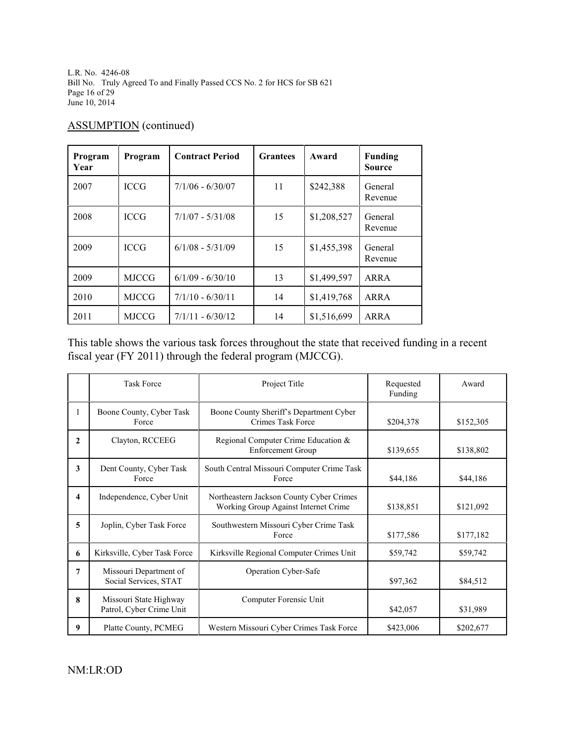L.R. No. 4246-08 Bill No. Truly Agreed To and Finally Passed CCS No. 2 for HCS for SB 621 Page 16 of 29 June 10, 2014

# ASSUMPTION (continued)

| Program<br>Year | Program      | <b>Contract Period</b> | <b>Grantees</b> | Award       | Funding<br><b>Source</b> |
|-----------------|--------------|------------------------|-----------------|-------------|--------------------------|
| 2007            | <b>ICCG</b>  | $7/1/06 - 6/30/07$     | 11              | \$242,388   | General<br>Revenue       |
| 2008            | <b>ICCG</b>  | $7/1/07 - 5/31/08$     | 15              | \$1,208,527 | General<br>Revenue       |
| 2009            | <b>ICCG</b>  | $6/1/08 - 5/31/09$     | 15              | \$1,455,398 | General<br>Revenue       |
| 2009            | <b>MJCCG</b> | $6/1/09 - 6/30/10$     | 13              | \$1,499,597 | ARRA                     |
| 2010            | <b>MJCCG</b> | $7/1/10 - 6/30/11$     | 14              | \$1,419,768 | <b>ARRA</b>              |
| 2011            | <b>MJCCG</b> | $7/1/11 - 6/30/12$     | 14              | \$1,516,699 | ARRA                     |

This table shows the various task forces throughout the state that received funding in a recent fiscal year (FY 2011) through the federal program (MJCCG).

|                         | <b>Task Force</b>                                  | Project Title                                                                    | Requested<br>Funding | Award     |
|-------------------------|----------------------------------------------------|----------------------------------------------------------------------------------|----------------------|-----------|
| 1                       | Boone County, Cyber Task<br>Force                  | Boone County Sheriff's Department Cyber<br>Crimes Task Force                     | \$204,378            | \$152,305 |
| $\mathbf{2}$            | Clayton, RCCEEG                                    | Regional Computer Crime Education &<br><b>Enforcement Group</b>                  | \$139,655            | \$138,802 |
| 3                       | Dent County, Cyber Task<br>Force                   | South Central Missouri Computer Crime Task<br>Force                              | \$44,186             | \$44,186  |
| $\overline{\mathbf{4}}$ | Independence, Cyber Unit                           | Northeastern Jackson County Cyber Crimes<br>Working Group Against Internet Crime | \$138,851            | \$121,092 |
| 5                       | Joplin, Cyber Task Force                           | Southwestern Missouri Cyber Crime Task<br>Force                                  | \$177,586            | \$177,182 |
| 6                       | Kirksville, Cyber Task Force                       | Kirksville Regional Computer Crimes Unit                                         | \$59,742             | \$59,742  |
| 7                       | Missouri Department of<br>Social Services, STAT    | Operation Cyber-Safe                                                             | \$97,362             | \$84,512  |
| 8                       | Missouri State Highway<br>Patrol, Cyber Crime Unit | Computer Forensic Unit                                                           | \$42,057             | \$31,989  |
| 9                       | Platte County, PCMEG                               | Western Missouri Cyber Crimes Task Force                                         | \$423,006            | \$202,677 |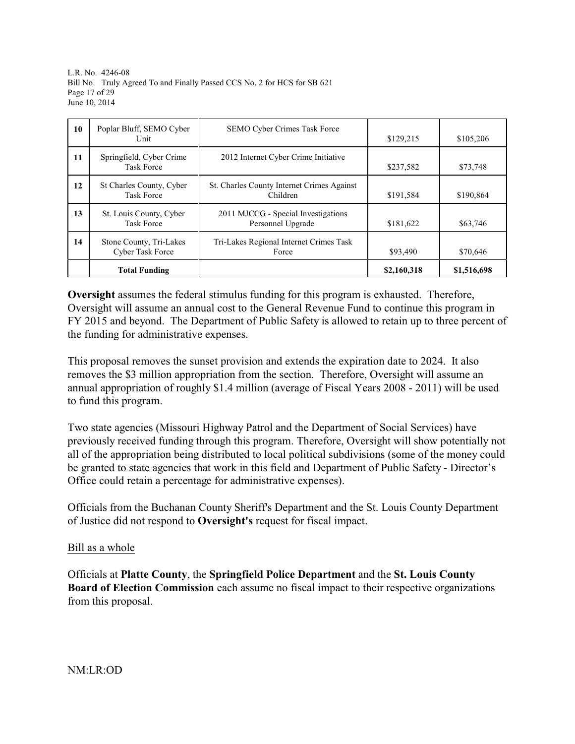L.R. No. 4246-08 Bill No. Truly Agreed To and Finally Passed CCS No. 2 for HCS for SB 621 Page 17 of 29 June 10, 2014

| 10 | Poplar Bluff, SEMO Cyber<br>Unit                   | SEMO Cyber Crimes Task Force                             | \$129,215   | \$105,206   |
|----|----------------------------------------------------|----------------------------------------------------------|-------------|-------------|
| 11 | Springfield, Cyber Crime<br><b>Task Force</b>      | 2012 Internet Cyber Crime Initiative                     | \$237,582   | \$73,748    |
| 12 | St Charles County, Cyber<br><b>Task Force</b>      | St. Charles County Internet Crimes Against<br>Children   | \$191,584   | \$190,864   |
| 13 | St. Louis County, Cyber<br><b>Task Force</b>       | 2011 MJCCG - Special Investigations<br>Personnel Upgrade | \$181,622   | \$63,746    |
| 14 | Stone County, Tri-Lakes<br><b>Cyber Task Force</b> | Tri-Lakes Regional Internet Crimes Task<br>Force         | \$93,490    | \$70,646    |
|    | <b>Total Funding</b>                               |                                                          | \$2,160,318 | \$1,516,698 |

**Oversight** assumes the federal stimulus funding for this program is exhausted. Therefore, Oversight will assume an annual cost to the General Revenue Fund to continue this program in FY 2015 and beyond. The Department of Public Safety is allowed to retain up to three percent of the funding for administrative expenses.

This proposal removes the sunset provision and extends the expiration date to 2024. It also removes the \$3 million appropriation from the section. Therefore, Oversight will assume an annual appropriation of roughly \$1.4 million (average of Fiscal Years 2008 - 2011) will be used to fund this program.

Two state agencies (Missouri Highway Patrol and the Department of Social Services) have previously received funding through this program. Therefore, Oversight will show potentially not all of the appropriation being distributed to local political subdivisions (some of the money could be granted to state agencies that work in this field and Department of Public Safety - Director's Office could retain a percentage for administrative expenses).

Officials from the Buchanan County Sheriff's Department and the St. Louis County Department of Justice did not respond to **Oversight's** request for fiscal impact.

# Bill as a whole

Officials at **Platte County**, the **Springfield Police Department** and the **St. Louis County Board of Election Commission** each assume no fiscal impact to their respective organizations from this proposal.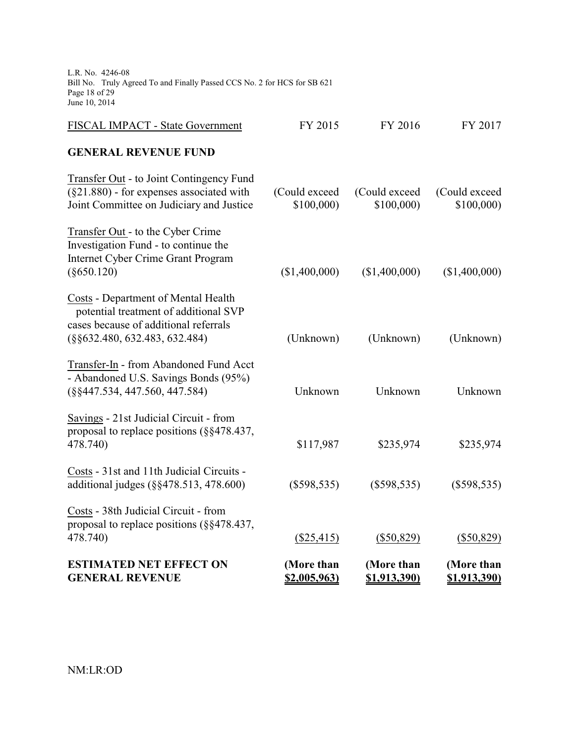L.R. No. 4246-08 Bill No. Truly Agreed To and Finally Passed CCS No. 2 for HCS for SB 621 Page 18 of 29 June 10, 2014

| <b>ESTIMATED NET EFFECT ON</b><br><b>GENERAL REVENUE</b>                                                                                                           | (More than<br>\$2,005,963) | (More than<br>\$1,913,390) | (More than<br><u>\$1,913,390)</u> |
|--------------------------------------------------------------------------------------------------------------------------------------------------------------------|----------------------------|----------------------------|-----------------------------------|
| Costs - 38th Judicial Circuit - from<br>proposal to replace positions (§§478.437,<br>478.740)                                                                      | $(\$25,415)$               | $(\$50,829)$               | $(\$50,829)$                      |
| Costs - 31st and 11th Judicial Circuits -<br>additional judges (§§478.513, 478.600)                                                                                | $(\$598,535)$              | $(\$598,535)$              | $(\$598,535)$                     |
| Savings - 21st Judicial Circuit - from<br>proposal to replace positions (§§478.437,<br>478.740)                                                                    | \$117,987                  | \$235,974                  | \$235,974                         |
| Transfer-In - from Abandoned Fund Acct<br>- Abandoned U.S. Savings Bonds (95%)<br>$(\S$ \$447.534, 447.560, 447.584)                                               | Unknown                    | Unknown                    | Unknown                           |
| <b>Costs - Department of Mental Health</b><br>potential treatment of additional SVP<br>cases because of additional referrals<br>$(\S\S 632.480, 632.483, 632.484)$ | (Unknown)                  | (Unknown)                  | (Unknown)                         |
| Transfer Out - to the Cyber Crime<br>Investigation Fund - to continue the<br><b>Internet Cyber Crime Grant Program</b><br>$(\$650.120)$                            | (\$1,400,000)              | (\$1,400,000)              | (\$1,400,000)                     |
| Transfer Out - to Joint Contingency Fund<br>$(\S21.880)$ - for expenses associated with<br>Joint Committee on Judiciary and Justice                                | (Could exceed<br>\$100,000 | (Could exceed<br>\$100,000 | (Could exceed<br>\$100,000        |
| <b>GENERAL REVENUE FUND</b>                                                                                                                                        |                            |                            |                                   |
| FISCAL IMPACT - State Government                                                                                                                                   | FY 2015                    | FY 2016                    | FY 2017                           |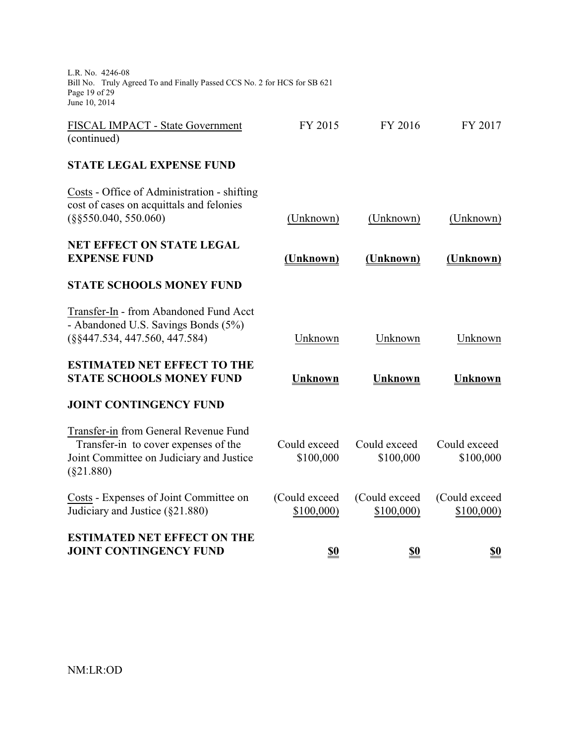| <b>ESTIMATED NET EFFECT ON THE</b><br><b>JOINT CONTINGENCY FUND</b>                                                                       | \$0                        | \$0                        | \$0                         |
|-------------------------------------------------------------------------------------------------------------------------------------------|----------------------------|----------------------------|-----------------------------|
| Costs - Expenses of Joint Committee on<br>Judiciary and Justice (§21.880)                                                                 | (Could exceed<br>\$100,000 | (Could exceed<br>\$100,000 | (Could exceed<br>\$100,000) |
| Transfer-in from General Revenue Fund<br>Transfer-in to cover expenses of the<br>Joint Committee on Judiciary and Justice<br>$(\$21.880)$ | Could exceed<br>\$100,000  | Could exceed<br>\$100,000  | Could exceed<br>\$100,000   |
| <b>JOINT CONTINGENCY FUND</b>                                                                                                             |                            |                            |                             |
| <b>ESTIMATED NET EFFECT TO THE</b><br><b>STATE SCHOOLS MONEY FUND</b>                                                                     | <b>Unknown</b>             | <b>Unknown</b>             | <b>Unknown</b>              |
| Transfer-In - from Abandoned Fund Acct<br>- Abandoned U.S. Savings Bonds (5%)<br>$(\S$ §447.534, 447.560, 447.584)                        | Unknown                    | Unknown                    | Unknown                     |
| <b>STATE SCHOOLS MONEY FUND</b>                                                                                                           |                            |                            |                             |
| <b>NET EFFECT ON STATE LEGAL</b><br><b>EXPENSE FUND</b>                                                                                   | (Unknown)                  | (Unknown)                  | (Unknown)                   |
| Costs - Office of Administration - shifting<br>cost of cases on acquittals and felonies<br>$(\$§550.040, 550.060)$                        | (Unknown)                  | (Unknown)                  | (Unknown)                   |
| <b>STATE LEGAL EXPENSE FUND</b>                                                                                                           |                            |                            |                             |
| FISCAL IMPACT - State Government<br>(continued)                                                                                           | FY 2015                    | FY 2016                    | FY 2017                     |
| L.R. No. 4246-08<br>Bill No. Truly Agreed To and Finally Passed CCS No. 2 for HCS for SB 621<br>Page 19 of 29<br>June 10, 2014            |                            |                            |                             |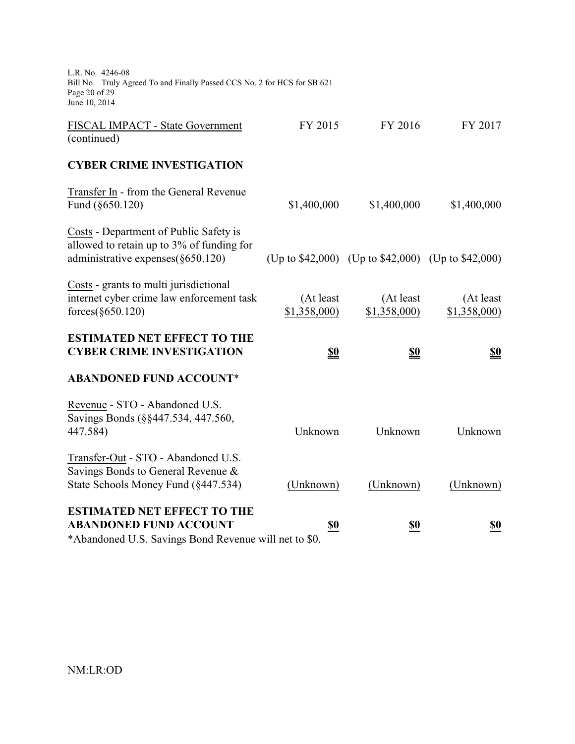| L.R. No. 4246-08<br>Bill No. Truly Agreed To and Finally Passed CCS No. 2 for HCS for SB 621<br>Page 20 of 29<br>June 10, 2014 |                          |                                                    |                          |
|--------------------------------------------------------------------------------------------------------------------------------|--------------------------|----------------------------------------------------|--------------------------|
| FISCAL IMPACT - State Government<br>(continued)                                                                                | FY 2015                  | FY 2016                                            | FY 2017                  |
| <b>CYBER CRIME INVESTIGATION</b>                                                                                               |                          |                                                    |                          |
| Transfer In - from the General Revenue<br>Fund (§650.120)                                                                      | \$1,400,000              | \$1,400,000                                        | \$1,400,000              |
| Costs - Department of Public Safety is<br>allowed to retain up to 3% of funding for<br>administrative expenses $(\S 650.120)$  |                          | (Up to \$42,000) (Up to \$42,000) (Up to \$42,000) |                          |
| Costs - grants to multi jurisdictional<br>internet cyber crime law enforcement task<br>forces (\$650.120)                      | (At least<br>\$1,358,000 | (At least<br>\$1,358,000                           | (At least<br>\$1,358,000 |
| <b>ESTIMATED NET EFFECT TO THE</b><br><b>CYBER CRIME INVESTIGATION</b>                                                         | <u>\$0</u>               | <u>\$0</u>                                         | <u>\$0</u>               |
| <b>ABANDONED FUND ACCOUNT*</b>                                                                                                 |                          |                                                    |                          |
| Revenue - STO - Abandoned U.S.<br>Savings Bonds (§§447.534, 447.560,<br>447.584)                                               | Unknown                  | Unknown                                            | Unknown                  |
| Transfer-Out - STO - Abandoned U.S.<br>Savings Bonds to General Revenue &<br>State Schools Money Fund (§447.534)               | (Unknown)                | (Unknown)                                          | (Unknown)                |
| <b>ESTIMATED NET EFFECT TO THE</b><br><b>ABANDONED FUND ACCOUNT</b>                                                            | <u>\$0</u>               | <u>\$0</u>                                         | <u>\$0</u>               |

\*Abandoned U.S. Savings Bond Revenue will net to \$0.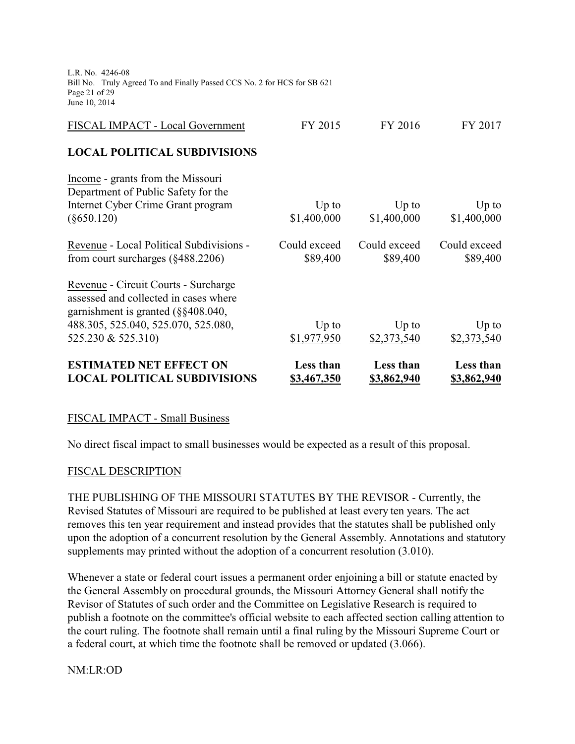L.R. No. 4246-08 Bill No. Truly Agreed To and Finally Passed CCS No. 2 for HCS for SB 621 Page 21 of 29 June 10, 2014

| <b>ESTIMATED NET EFFECT ON</b><br><b>LOCAL POLITICAL SUBDIVISIONS</b>                                                                                                                | <b>Less than</b><br>\$3,467,350 | Less than<br>\$3,862,940 | Less than<br>\$3,862,940 |
|--------------------------------------------------------------------------------------------------------------------------------------------------------------------------------------|---------------------------------|--------------------------|--------------------------|
| Revenue - Circuit Courts - Surcharge<br>assessed and collected in cases where<br>garnishment is granted $(\S$ §408.040,<br>488.305, 525.040, 525.070, 525.080,<br>525.230 & 525.310) | $Up$ to<br>\$1,977,950          | $Up$ to<br>\$2,373,540   | $Up$ to<br>\$2,373,540   |
| Revenue - Local Political Subdivisions -<br>from court surcharges $(\S 488.2206)$                                                                                                    | Could exceed<br>\$89,400        | Could exceed<br>\$89,400 | Could exceed<br>\$89,400 |
| Income - grants from the Missouri<br>Department of Public Safety for the<br>Internet Cyber Crime Grant program<br>$(\$650.120)$                                                      | $Up$ to<br>\$1,400,000          | $Up$ to<br>\$1,400,000   | $Up$ to<br>\$1,400,000   |
| <b>LOCAL POLITICAL SUBDIVISIONS</b>                                                                                                                                                  |                                 |                          |                          |
| FISCAL IMPACT - Local Government                                                                                                                                                     | FY 2015                         | FY 2016                  | FY 2017                  |

#### FISCAL IMPACT - Small Business

No direct fiscal impact to small businesses would be expected as a result of this proposal.

#### FISCAL DESCRIPTION

THE PUBLISHING OF THE MISSOURI STATUTES BY THE REVISOR - Currently, the Revised Statutes of Missouri are required to be published at least every ten years. The act removes this ten year requirement and instead provides that the statutes shall be published only upon the adoption of a concurrent resolution by the General Assembly. Annotations and statutory supplements may printed without the adoption of a concurrent resolution (3.010).

Whenever a state or federal court issues a permanent order enjoining a bill or statute enacted by the General Assembly on procedural grounds, the Missouri Attorney General shall notify the Revisor of Statutes of such order and the Committee on Legislative Research is required to publish a footnote on the committee's official website to each affected section calling attention to the court ruling. The footnote shall remain until a final ruling by the Missouri Supreme Court or a federal court, at which time the footnote shall be removed or updated (3.066).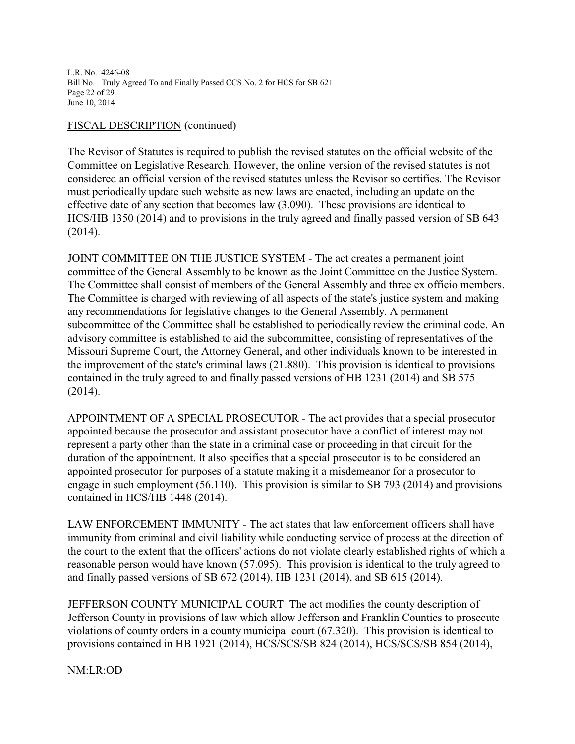L.R. No. 4246-08 Bill No. Truly Agreed To and Finally Passed CCS No. 2 for HCS for SB 621 Page 22 of 29 June 10, 2014

#### FISCAL DESCRIPTION (continued)

The Revisor of Statutes is required to publish the revised statutes on the official website of the Committee on Legislative Research. However, the online version of the revised statutes is not considered an official version of the revised statutes unless the Revisor so certifies. The Revisor must periodically update such website as new laws are enacted, including an update on the effective date of any section that becomes law (3.090). These provisions are identical to HCS/HB 1350 (2014) and to provisions in the truly agreed and finally passed version of SB 643 (2014).

JOINT COMMITTEE ON THE JUSTICE SYSTEM - The act creates a permanent joint committee of the General Assembly to be known as the Joint Committee on the Justice System. The Committee shall consist of members of the General Assembly and three ex officio members. The Committee is charged with reviewing of all aspects of the state's justice system and making any recommendations for legislative changes to the General Assembly. A permanent subcommittee of the Committee shall be established to periodically review the criminal code. An advisory committee is established to aid the subcommittee, consisting of representatives of the Missouri Supreme Court, the Attorney General, and other individuals known to be interested in the improvement of the state's criminal laws (21.880). This provision is identical to provisions contained in the truly agreed to and finally passed versions of HB 1231 (2014) and SB 575 (2014).

APPOINTMENT OF A SPECIAL PROSECUTOR - The act provides that a special prosecutor appointed because the prosecutor and assistant prosecutor have a conflict of interest may not represent a party other than the state in a criminal case or proceeding in that circuit for the duration of the appointment. It also specifies that a special prosecutor is to be considered an appointed prosecutor for purposes of a statute making it a misdemeanor for a prosecutor to engage in such employment (56.110). This provision is similar to SB 793 (2014) and provisions contained in HCS/HB 1448 (2014).

LAW ENFORCEMENT IMMUNITY - The act states that law enforcement officers shall have immunity from criminal and civil liability while conducting service of process at the direction of the court to the extent that the officers' actions do not violate clearly established rights of which a reasonable person would have known (57.095). This provision is identical to the truly agreed to and finally passed versions of SB 672 (2014), HB 1231 (2014), and SB 615 (2014).

JEFFERSON COUNTY MUNICIPAL COURT The act modifies the county description of Jefferson County in provisions of law which allow Jefferson and Franklin Counties to prosecute violations of county orders in a county municipal court (67.320). This provision is identical to provisions contained in HB 1921 (2014), HCS/SCS/SB 824 (2014), HCS/SCS/SB 854 (2014),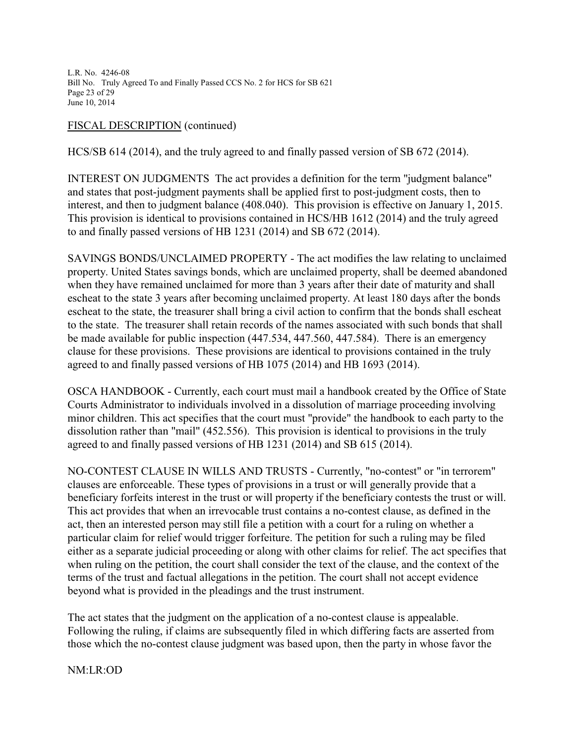L.R. No. 4246-08 Bill No. Truly Agreed To and Finally Passed CCS No. 2 for HCS for SB 621 Page 23 of 29 June 10, 2014

## FISCAL DESCRIPTION (continued)

HCS/SB 614 (2014), and the truly agreed to and finally passed version of SB 672 (2014).

INTEREST ON JUDGMENTS The act provides a definition for the term "judgment balance" and states that post-judgment payments shall be applied first to post-judgment costs, then to interest, and then to judgment balance (408.040). This provision is effective on January 1, 2015. This provision is identical to provisions contained in HCS/HB 1612 (2014) and the truly agreed to and finally passed versions of HB 1231 (2014) and SB 672 (2014).

SAVINGS BONDS/UNCLAIMED PROPERTY - The act modifies the law relating to unclaimed property. United States savings bonds, which are unclaimed property, shall be deemed abandoned when they have remained unclaimed for more than 3 years after their date of maturity and shall escheat to the state 3 years after becoming unclaimed property. At least 180 days after the bonds escheat to the state, the treasurer shall bring a civil action to confirm that the bonds shall escheat to the state. The treasurer shall retain records of the names associated with such bonds that shall be made available for public inspection (447.534, 447.560, 447.584). There is an emergency clause for these provisions. These provisions are identical to provisions contained in the truly agreed to and finally passed versions of HB 1075 (2014) and HB 1693 (2014).

OSCA HANDBOOK - Currently, each court must mail a handbook created by the Office of State Courts Administrator to individuals involved in a dissolution of marriage proceeding involving minor children. This act specifies that the court must "provide" the handbook to each party to the dissolution rather than "mail" (452.556). This provision is identical to provisions in the truly agreed to and finally passed versions of HB 1231 (2014) and SB 615 (2014).

NO-CONTEST CLAUSE IN WILLS AND TRUSTS - Currently, "no-contest" or "in terrorem" clauses are enforceable. These types of provisions in a trust or will generally provide that a beneficiary forfeits interest in the trust or will property if the beneficiary contests the trust or will. This act provides that when an irrevocable trust contains a no-contest clause, as defined in the act, then an interested person may still file a petition with a court for a ruling on whether a particular claim for relief would trigger forfeiture. The petition for such a ruling may be filed either as a separate judicial proceeding or along with other claims for relief. The act specifies that when ruling on the petition, the court shall consider the text of the clause, and the context of the terms of the trust and factual allegations in the petition. The court shall not accept evidence beyond what is provided in the pleadings and the trust instrument.

The act states that the judgment on the application of a no-contest clause is appealable. Following the ruling, if claims are subsequently filed in which differing facts are asserted from those which the no-contest clause judgment was based upon, then the party in whose favor the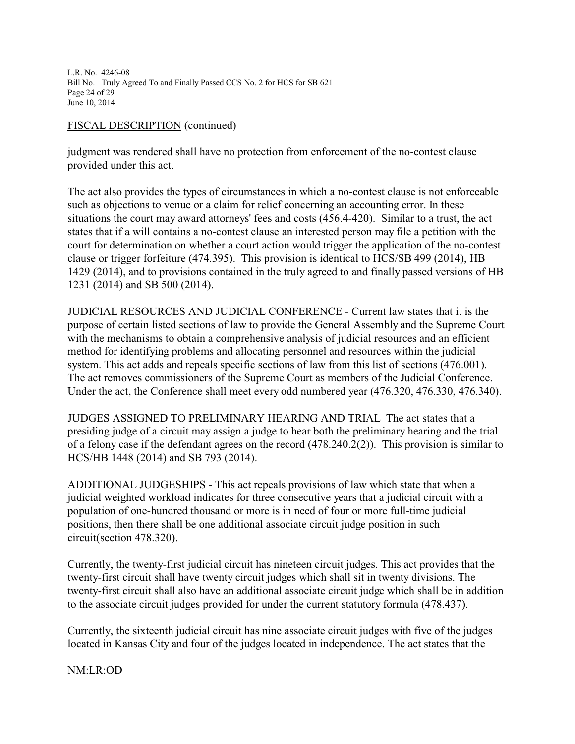L.R. No. 4246-08 Bill No. Truly Agreed To and Finally Passed CCS No. 2 for HCS for SB 621 Page 24 of 29 June 10, 2014

#### FISCAL DESCRIPTION (continued)

judgment was rendered shall have no protection from enforcement of the no-contest clause provided under this act.

The act also provides the types of circumstances in which a no-contest clause is not enforceable such as objections to venue or a claim for relief concerning an accounting error. In these situations the court may award attorneys' fees and costs (456.4-420). Similar to a trust, the act states that if a will contains a no-contest clause an interested person may file a petition with the court for determination on whether a court action would trigger the application of the no-contest clause or trigger forfeiture (474.395). This provision is identical to HCS/SB 499 (2014), HB 1429 (2014), and to provisions contained in the truly agreed to and finally passed versions of HB 1231 (2014) and SB 500 (2014).

JUDICIAL RESOURCES AND JUDICIAL CONFERENCE - Current law states that it is the purpose of certain listed sections of law to provide the General Assembly and the Supreme Court with the mechanisms to obtain a comprehensive analysis of judicial resources and an efficient method for identifying problems and allocating personnel and resources within the judicial system. This act adds and repeals specific sections of law from this list of sections (476.001). The act removes commissioners of the Supreme Court as members of the Judicial Conference. Under the act, the Conference shall meet every odd numbered year (476.320, 476.330, 476.340).

JUDGES ASSIGNED TO PRELIMINARY HEARING AND TRIAL The act states that a presiding judge of a circuit may assign a judge to hear both the preliminary hearing and the trial of a felony case if the defendant agrees on the record (478.240.2(2)). This provision is similar to HCS/HB 1448 (2014) and SB 793 (2014).

ADDITIONAL JUDGESHIPS - This act repeals provisions of law which state that when a judicial weighted workload indicates for three consecutive years that a judicial circuit with a population of one-hundred thousand or more is in need of four or more full-time judicial positions, then there shall be one additional associate circuit judge position in such circuit(section 478.320).

Currently, the twenty-first judicial circuit has nineteen circuit judges. This act provides that the twenty-first circuit shall have twenty circuit judges which shall sit in twenty divisions. The twenty-first circuit shall also have an additional associate circuit judge which shall be in addition to the associate circuit judges provided for under the current statutory formula (478.437).

Currently, the sixteenth judicial circuit has nine associate circuit judges with five of the judges located in Kansas City and four of the judges located in independence. The act states that the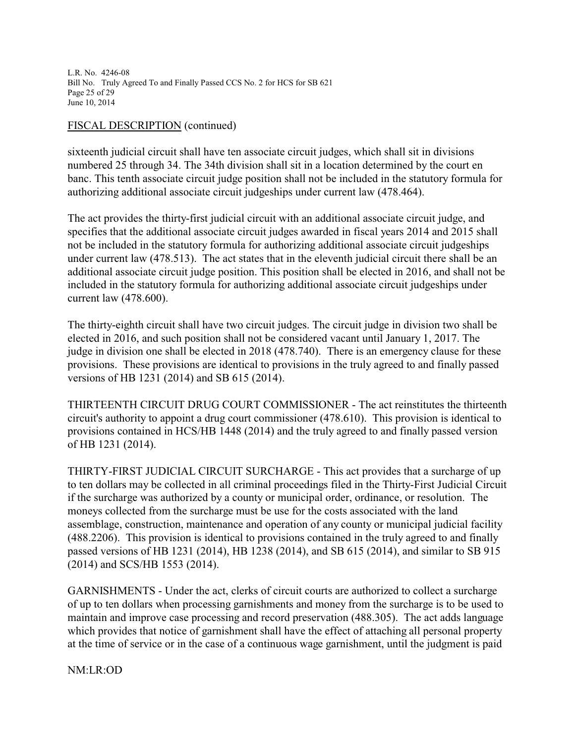L.R. No. 4246-08 Bill No. Truly Agreed To and Finally Passed CCS No. 2 for HCS for SB 621 Page 25 of 29 June 10, 2014

#### FISCAL DESCRIPTION (continued)

sixteenth judicial circuit shall have ten associate circuit judges, which shall sit in divisions numbered 25 through 34. The 34th division shall sit in a location determined by the court en banc. This tenth associate circuit judge position shall not be included in the statutory formula for authorizing additional associate circuit judgeships under current law (478.464).

The act provides the thirty-first judicial circuit with an additional associate circuit judge, and specifies that the additional associate circuit judges awarded in fiscal years 2014 and 2015 shall not be included in the statutory formula for authorizing additional associate circuit judgeships under current law (478.513). The act states that in the eleventh judicial circuit there shall be an additional associate circuit judge position. This position shall be elected in 2016, and shall not be included in the statutory formula for authorizing additional associate circuit judgeships under current law (478.600).

The thirty-eighth circuit shall have two circuit judges. The circuit judge in division two shall be elected in 2016, and such position shall not be considered vacant until January 1, 2017. The judge in division one shall be elected in 2018 (478.740). There is an emergency clause for these provisions. These provisions are identical to provisions in the truly agreed to and finally passed versions of HB 1231 (2014) and SB 615 (2014).

THIRTEENTH CIRCUIT DRUG COURT COMMISSIONER - The act reinstitutes the thirteenth circuit's authority to appoint a drug court commissioner (478.610). This provision is identical to provisions contained in HCS/HB 1448 (2014) and the truly agreed to and finally passed version of HB 1231 (2014).

THIRTY-FIRST JUDICIAL CIRCUIT SURCHARGE - This act provides that a surcharge of up to ten dollars may be collected in all criminal proceedings filed in the Thirty-First Judicial Circuit if the surcharge was authorized by a county or municipal order, ordinance, or resolution. The moneys collected from the surcharge must be use for the costs associated with the land assemblage, construction, maintenance and operation of any county or municipal judicial facility (488.2206). This provision is identical to provisions contained in the truly agreed to and finally passed versions of HB 1231 (2014), HB 1238 (2014), and SB 615 (2014), and similar to SB 915 (2014) and SCS/HB 1553 (2014).

GARNISHMENTS - Under the act, clerks of circuit courts are authorized to collect a surcharge of up to ten dollars when processing garnishments and money from the surcharge is to be used to maintain and improve case processing and record preservation (488.305). The act adds language which provides that notice of garnishment shall have the effect of attaching all personal property at the time of service or in the case of a continuous wage garnishment, until the judgment is paid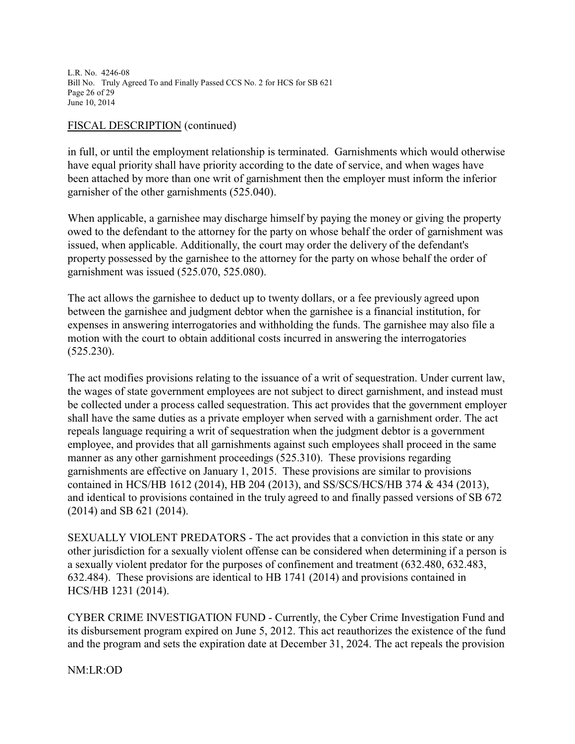L.R. No. 4246-08 Bill No. Truly Agreed To and Finally Passed CCS No. 2 for HCS for SB 621 Page 26 of 29 June 10, 2014

#### FISCAL DESCRIPTION (continued)

in full, or until the employment relationship is terminated. Garnishments which would otherwise have equal priority shall have priority according to the date of service, and when wages have been attached by more than one writ of garnishment then the employer must inform the inferior garnisher of the other garnishments (525.040).

When applicable, a garnishee may discharge himself by paying the money or giving the property owed to the defendant to the attorney for the party on whose behalf the order of garnishment was issued, when applicable. Additionally, the court may order the delivery of the defendant's property possessed by the garnishee to the attorney for the party on whose behalf the order of garnishment was issued (525.070, 525.080).

The act allows the garnishee to deduct up to twenty dollars, or a fee previously agreed upon between the garnishee and judgment debtor when the garnishee is a financial institution, for expenses in answering interrogatories and withholding the funds. The garnishee may also file a motion with the court to obtain additional costs incurred in answering the interrogatories (525.230).

The act modifies provisions relating to the issuance of a writ of sequestration. Under current law, the wages of state government employees are not subject to direct garnishment, and instead must be collected under a process called sequestration. This act provides that the government employer shall have the same duties as a private employer when served with a garnishment order. The act repeals language requiring a writ of sequestration when the judgment debtor is a government employee, and provides that all garnishments against such employees shall proceed in the same manner as any other garnishment proceedings (525.310). These provisions regarding garnishments are effective on January 1, 2015. These provisions are similar to provisions contained in HCS/HB 1612 (2014), HB 204 (2013), and SS/SCS/HCS/HB 374 & 434 (2013), and identical to provisions contained in the truly agreed to and finally passed versions of SB 672 (2014) and SB 621 (2014).

SEXUALLY VIOLENT PREDATORS - The act provides that a conviction in this state or any other jurisdiction for a sexually violent offense can be considered when determining if a person is a sexually violent predator for the purposes of confinement and treatment (632.480, 632.483, 632.484). These provisions are identical to HB 1741 (2014) and provisions contained in HCS/HB 1231 (2014).

CYBER CRIME INVESTIGATION FUND - Currently, the Cyber Crime Investigation Fund and its disbursement program expired on June 5, 2012. This act reauthorizes the existence of the fund and the program and sets the expiration date at December 31, 2024. The act repeals the provision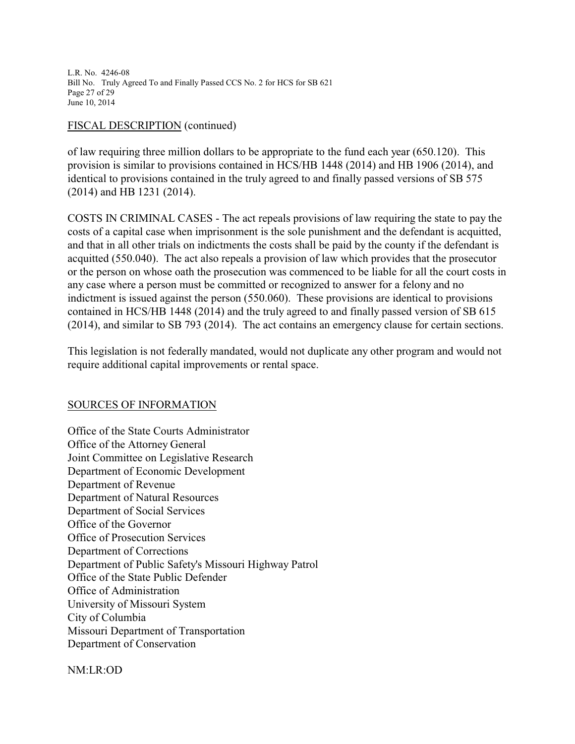L.R. No. 4246-08 Bill No. Truly Agreed To and Finally Passed CCS No. 2 for HCS for SB 621 Page 27 of 29 June 10, 2014

#### FISCAL DESCRIPTION (continued)

of law requiring three million dollars to be appropriate to the fund each year (650.120). This provision is similar to provisions contained in HCS/HB 1448 (2014) and HB 1906 (2014), and identical to provisions contained in the truly agreed to and finally passed versions of SB 575 (2014) and HB 1231 (2014).

COSTS IN CRIMINAL CASES - The act repeals provisions of law requiring the state to pay the costs of a capital case when imprisonment is the sole punishment and the defendant is acquitted, and that in all other trials on indictments the costs shall be paid by the county if the defendant is acquitted (550.040). The act also repeals a provision of law which provides that the prosecutor or the person on whose oath the prosecution was commenced to be liable for all the court costs in any case where a person must be committed or recognized to answer for a felony and no indictment is issued against the person (550.060). These provisions are identical to provisions contained in HCS/HB 1448 (2014) and the truly agreed to and finally passed version of SB 615 (2014), and similar to SB 793 (2014). The act contains an emergency clause for certain sections.

This legislation is not federally mandated, would not duplicate any other program and would not require additional capital improvements or rental space.

#### SOURCES OF INFORMATION

Office of the State Courts Administrator Office of the Attorney General Joint Committee on Legislative Research Department of Economic Development Department of Revenue Department of Natural Resources Department of Social Services Office of the Governor Office of Prosecution Services Department of Corrections Department of Public Safety's Missouri Highway Patrol Office of the State Public Defender Office of Administration University of Missouri System City of Columbia Missouri Department of Transportation Department of Conservation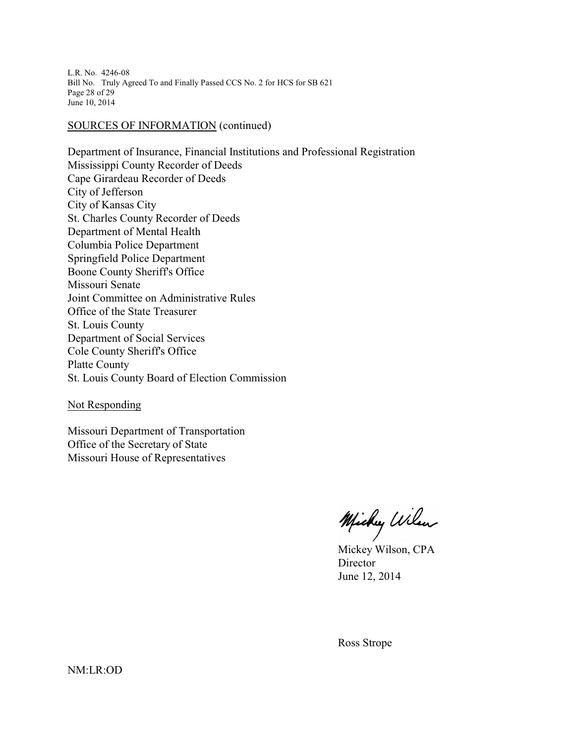L.R. No. 4246-08 Bill No. Truly Agreed To and Finally Passed CCS No. 2 for HCS for SB 621 Page 28 of 29 June 10, 2014

#### SOURCES OF INFORMATION (continued)

Department of Insurance, Financial Institutions and Professional Registration Mississippi County Recorder of Deeds Cape Girardeau Recorder of Deeds City of Jefferson City of Kansas City St. Charles County Recorder of Deeds Department of Mental Health Columbia Police Department Springfield Police Department Boone County Sheriff's Office Missouri Senate Joint Committee on Administrative Rules Office of the State Treasurer St. Louis County Department of Social Services Cole County Sheriff's Office Platte County St. Louis County Board of Election Commission

Not Responding

Missouri Department of Transportation Office of the Secretary of State Missouri House of Representatives

Michy Wilen

Mickey Wilson, CPA Director June 12, 2014

Ross Strope